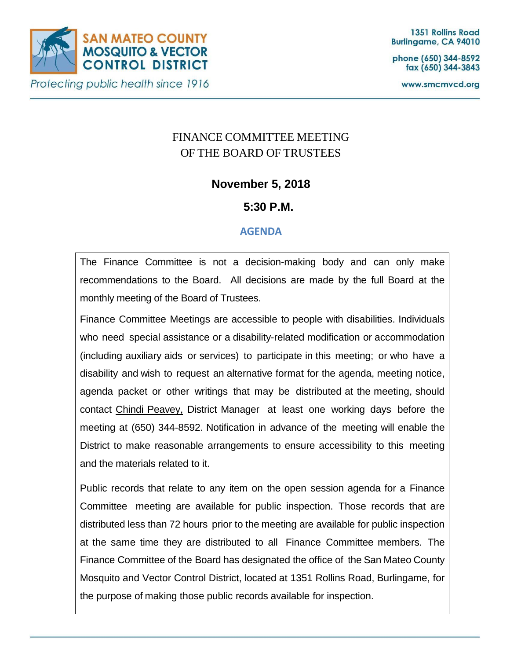

phone (650) 344-8592 fax (650) 344-3843

www.smcmvcd.org

# FINANCE COMMITTEE MEETING OF THE BOARD OF TRUSTEES

## **November 5, 2018**

## **5:30 P.M.**

### **AGENDA**

The Finance Committee is not a decision-making body and can only make recommendations to the Board. All decisions are made by the full Board at the monthly meeting of the Board of Trustees.

Finance Committee Meetings are accessible to people with disabilities. Individuals who need special assistance or a disability-related modification or accommodation (including auxiliary aids or services) to participate in this meeting; or who have a disability and wish to request an alternative format for the agenda, meeting notice, agenda packet or other writings that may be distributed at the meeting, should contact Chindi Peavey, District Manager at least one working days before the meeting at (650) 344-8592. Notification in advance of the meeting will enable the District to make reasonable arrangements to ensure accessibility to this meeting and the materials related to it.

Public records that relate to any item on the open session agenda for a Finance Committee meeting are available for public inspection. Those records that are distributed less than 72 hours prior to the meeting are available for public inspection at the same time they are distributed to all Finance Committee members. The Finance Committee of the Board has designated the office of the San Mateo County Mosquito and Vector Control District, located at 1351 Rollins Road, Burlingame, for the purpose of making those public records available for inspection.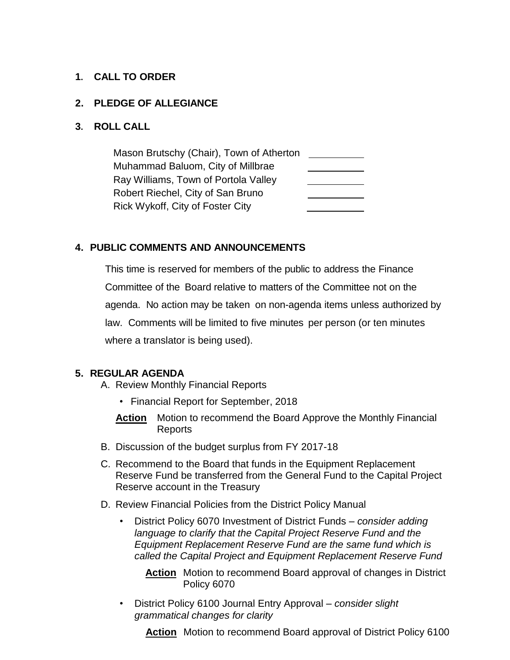#### **1. CALL TO ORDER**

#### **2. PLEDGE OF ALLEGIANCE**

#### **3. ROLL CALL**

Mason Brutschy (Chair), Town of Atherton Muhammad Baluom, City of Millbrae Ray Williams, Town of Portola Valley Robert Riechel, City of San Bruno Rick Wykoff, City of Foster City

#### **4. PUBLIC COMMENTS AND ANNOUNCEMENTS**

This time is reserved for members of the public to address the Finance Committee of the Board relative to matters of the Committee not on the agenda. No action may be taken on non-agenda items unless authorized by law. Comments will be limited to five minutes per person (or ten minutes where a translator is being used).

#### **5. REGULAR AGENDA**

- A. Review Monthly Financial Reports
	- Financial Report for September, 2018
	- **Action** Motion to recommend the Board Approve the Monthly Financial Reports
- B. Discussion of the budget surplus from FY 2017-18
- C. Recommend to the Board that funds in the Equipment Replacement Reserve Fund be transferred from the General Fund to the Capital Project Reserve account in the Treasury
- D. Review Financial Policies from the District Policy Manual
	- District Policy 6070 Investment of District Funds *consider adding language to clarify that the Capital Project Reserve Fund and the Equipment Replacement Reserve Fund are the same fund which is called the Capital Project and Equipment Replacement Reserve Fund*

**Action** Motion to recommend Board approval of changes in District Policy 6070

• District Policy 6100 Journal Entry Approval – *consider slight grammatical changes for clarity*

**Action** Motion to recommend Board approval of District Policy 6100